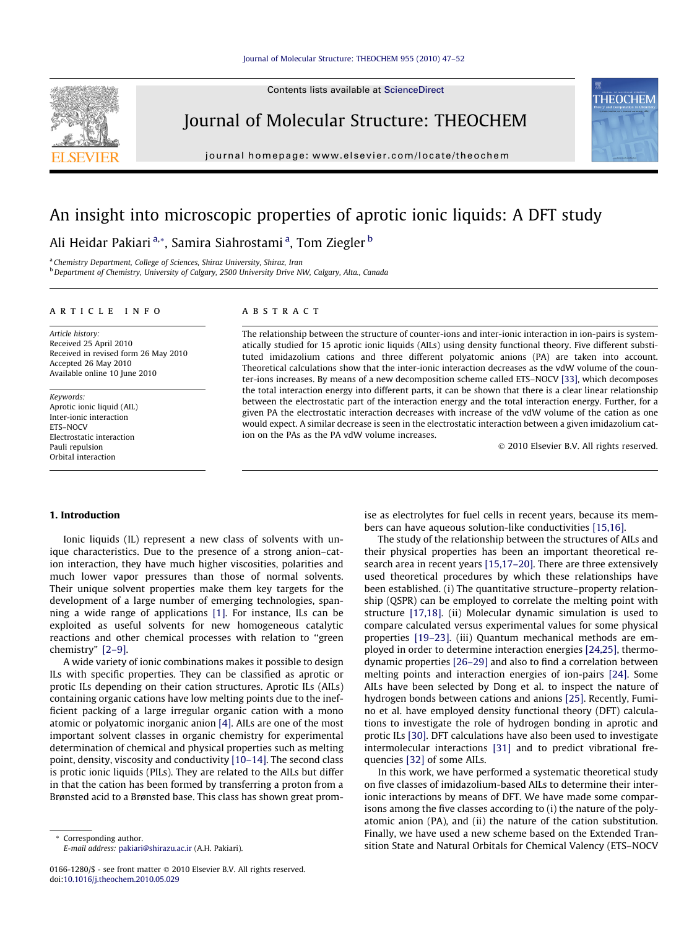Contents lists available at [ScienceDirect](http://www.sciencedirect.com/science/journal/01661280)



Journal of Molecular Structure: THEOCHEM

journal homepage: [www.elsevier.com/locate/theochem](http://www.elsevier.com/locate/theochem)

# An insight into microscopic properties of aprotic ionic liquids: A DFT study

Ali Heidar Pakiari<sup>a,</sup>\*, Samira Siahrostami<sup>a</sup>, Tom Ziegler <sup>b</sup>

a Chemistry Department, College of Sciences, Shiraz University, Shiraz, Iran <sup>b</sup> Department of Chemistry, University of Calgary, 2500 University Drive NW, Calgary, Alta., Canada

## article info

Article history: Received 25 April 2010 Received in revised form 26 May 2010 Accepted 26 May 2010 Available online 10 June 2010

Keywords: Aprotic ionic liquid (AIL) Inter-ionic interaction ETS–NOCV Electrostatic interaction Pauli repulsion Orbital interaction

# **ABSTRACT**

The relationship between the structure of counter-ions and inter-ionic interaction in ion-pairs is systematically studied for 15 aprotic ionic liquids (AILs) using density functional theory. Five different substituted imidazolium cations and three different polyatomic anions (PA) are taken into account. Theoretical calculations show that the inter-ionic interaction decreases as the vdW volume of the counter-ions increases. By means of a new decomposition scheme called ETS–NOCV [\[33\],](#page-5-0) which decomposes the total interaction energy into different parts, it can be shown that there is a clear linear relationship between the electrostatic part of the interaction energy and the total interaction energy. Further, for a given PA the electrostatic interaction decreases with increase of the vdW volume of the cation as one would expect. A similar decrease is seen in the electrostatic interaction between a given imidazolium cation on the PAs as the PA vdW volume increases.

© 2010 Elsevier B.V. All rights reserved.

**THEOCHEM** 

## 1. Introduction

Ionic liquids (IL) represent a new class of solvents with unique characteristics. Due to the presence of a strong anion–cation interaction, they have much higher viscosities, polarities and much lower vapor pressures than those of normal solvents. Their unique solvent properties make them key targets for the development of a large number of emerging technologies, spanning a wide range of applications [\[1\].](#page-5-0) For instance, ILs can be exploited as useful solvents for new homogeneous catalytic reactions and other chemical processes with relation to ''green chemistry" [\[2–9\].](#page-5-0)

A wide variety of ionic combinations makes it possible to design ILs with specific properties. They can be classified as aprotic or protic ILs depending on their cation structures. Aprotic ILs (AILs) containing organic cations have low melting points due to the inefficient packing of a large irregular organic cation with a mono atomic or polyatomic inorganic anion [\[4\].](#page-5-0) AILs are one of the most important solvent classes in organic chemistry for experimental determination of chemical and physical properties such as melting point, density, viscosity and conductivity [\[10–14\].](#page-5-0) The second class is protic ionic liquids (PILs). They are related to the AILs but differ in that the cation has been formed by transferring a proton from a Brønsted acid to a Brønsted base. This class has shown great prom-

Corresponding author. E-mail address: [pakiari@shirazu.ac.ir](mailto:pakiari@shirazu.ac.ir) (A.H. Pakiari). ise as electrolytes for fuel cells in recent years, because its members can have aqueous solution-like conductivities [\[15,16\]](#page-5-0).

The study of the relationship between the structures of AILs and their physical properties has been an important theoretical research area in recent years [\[15,17–20\].](#page-5-0) There are three extensively used theoretical procedures by which these relationships have been established. (i) The quantitative structure–property relationship (QSPR) can be employed to correlate the melting point with structure [\[17,18\]](#page-5-0). (ii) Molecular dynamic simulation is used to compare calculated versus experimental values for some physical properties [\[19–23\]](#page-5-0). (iii) Quantum mechanical methods are employed in order to determine interaction energies [\[24,25\]](#page-5-0), thermodynamic properties [\[26–29\]](#page-5-0) and also to find a correlation between melting points and interaction energies of ion-pairs [\[24\].](#page-5-0) Some AILs have been selected by Dong et al. to inspect the nature of hydrogen bonds between cations and anions [\[25\].](#page-5-0) Recently, Fumino et al. have employed density functional theory (DFT) calculations to investigate the role of hydrogen bonding in aprotic and protic ILs [\[30\]](#page-5-0). DFT calculations have also been used to investigate intermolecular interactions [\[31\]](#page-5-0) and to predict vibrational frequencies [\[32\]](#page-5-0) of some AILs.

In this work, we have performed a systematic theoretical study on five classes of imidazolium-based AILs to determine their interionic interactions by means of DFT. We have made some comparisons among the five classes according to (i) the nature of the polyatomic anion (PA), and (ii) the nature of the cation substitution. Finally, we have used a new scheme based on the Extended Transition State and Natural Orbitals for Chemical Valency (ETS–NOCV

<sup>0166-1280/\$ -</sup> see front matter © 2010 Elsevier B.V. All rights reserved. doi[:10.1016/j.theochem.2010.05.029](http://dx.doi.org/10.1016/j.theochem.2010.05.029)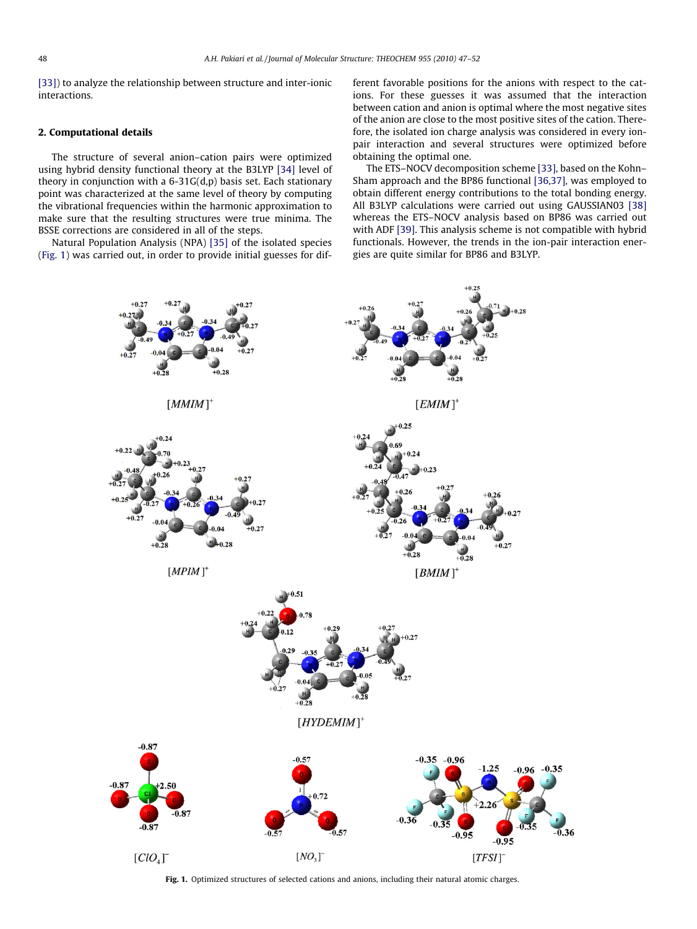[\[33\]](#page-5-0)) to analyze the relationship between structure and inter-ionic interactions.

## 2. Computational details

The structure of several anion–cation pairs were optimized using hybrid density functional theory at the B3LYP [\[34\]](#page-5-0) level of theory in conjunction with a 6-31G(d,p) basis set. Each stationary point was characterized at the same level of theory by computing the vibrational frequencies within the harmonic approximation to make sure that the resulting structures were true minima. The BSSE corrections are considered in all of the steps.

Natural Population Analysis (NPA) [\[35\]](#page-5-0) of the isolated species (Fig. 1) was carried out, in order to provide initial guesses for different favorable positions for the anions with respect to the cations. For these guesses it was assumed that the interaction between cation and anion is optimal where the most negative sites of the anion are close to the most positive sites of the cation. Therefore, the isolated ion charge analysis was considered in every ionpair interaction and several structures were optimized before obtaining the optimal one.

The ETS–NOCV decomposition scheme [\[33\]](#page-5-0), based on the Kohn– Sham approach and the BP86 functional [\[36,37\]](#page-5-0), was employed to obtain different energy contributions to the total bonding energy. All B3LYP calculations were carried out using GAUSSIAN03 [\[38\]](#page-5-0) whereas the ETS–NOCV analysis based on BP86 was carried out with ADF [\[39\].](#page-5-0) This analysis scheme is not compatible with hybrid functionals. However, the trends in the ion-pair interaction energies are quite similar for BP86 and B3LYP.



Fig. 1. Optimized structures of selected cations and anions, including their natural atomic charges.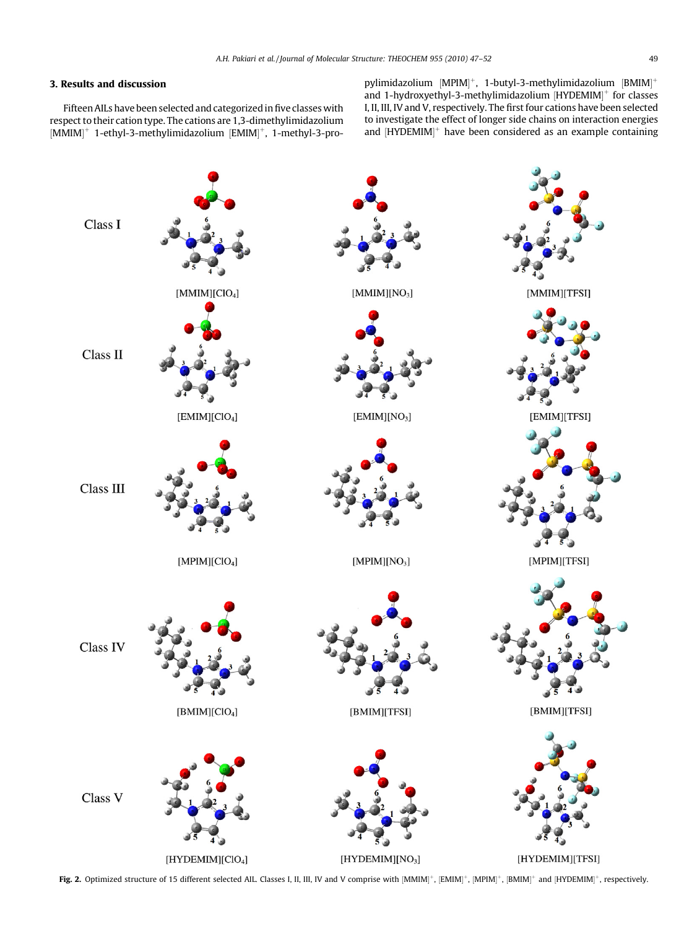# <span id="page-2-0"></span>3. Results and discussion

Fifteen AILs have been selected and categorized in five classes with respect to their cation type. The cations are 1,3-dimethylimidazolium [MMIM]<sup>+</sup> 1-ethyl-3-methylimidazolium [EMIM]<sup>+</sup>, 1-methyl-3-pro-

 $p$ ylimidazolium  $[MPIM]^+$ , 1-butyl-3-methylimidazolium  $[BMIM]^+$ and 1-hydroxyethyl-3-methylimidazolium  $[HYDEMM]^+$  for classes I, II, III, IV and V, respectively. The first four cations have been selected to investigate the effect of longer side chains on interaction energies and  $[HYDEMIM]^+$  have been considered as an example containing



**Fig. 2.** Optimized structure of 15 different selected AIL. Classes I, II, III, IV and V comprise with [MMIM]<sup>+</sup>, [EMIM]<sup>+</sup>, [MPIM]<sup>+</sup>, [BMIM]<sup>+</sup>, [BMIM]<sup>+</sup> and [HYDEMIM]<sup>+</sup>, respectively.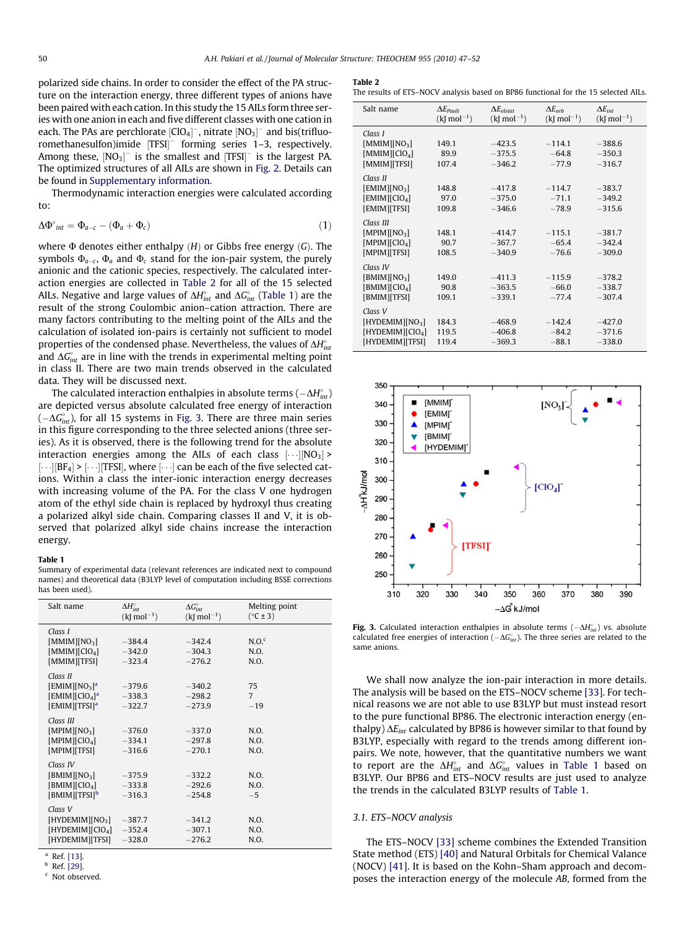<span id="page-3-0"></span>polarized side chains. In order to consider the effect of the PA structure on the interaction energy, three different types of anions have been paired with each cation. In this study the 15 AILs form three series with one anion in each and five different classes with one cation in each. The PAs are perchlorate  $\text{[ClO}_4]^-$ , nitrate  $\text{[NO}_3]^+$  and bis(trifluoromethanesulfon)imide [TFSI]<sup>-</sup> forming series 1–3, respectively. Among these,  $[NO<sub>3</sub>]<sup>-</sup>$  is the smallest and  $[TFSI]<sup>-</sup>$  is the largest PA. The optimized structures of all AILs are shown in [Fig. 2](#page-2-0). Details can be found in Supplementary information.

Thermodynamic interaction energies were calculated according to:

$$
\Delta \Phi^{\circ}{}_{int} = \Phi_{a-c} - (\Phi_a + \Phi_c) \tag{1}
$$

where  $\Phi$  denotes either enthalpy  $(H)$  or Gibbs free energy  $(G)$ . The symbols  $\Phi_{a-c}$ ,  $\Phi_a$  and  $\Phi_c$  stand for the ion-pair system, the purely anionic and the cationic species, respectively. The calculated interaction energies are collected in Table 2 for all of the 15 selected AILs. Negative and large values of  $\Delta H_{int}^{\circ}$  and  $\Delta G_{int}^{\circ}$  (Table 1) are the result of the strong Coulombic anion–cation attraction. There are many factors contributing to the melting point of the AILs and the calculation of isolated ion-pairs is certainly not sufficient to model properties of the condensed phase. Nevertheless, the values of  $\Delta H_{int}^{\circ}$ and  $\Delta G_{\text{int}}^{\circ}$  are in line with the trends in experimental melting point in class II. There are two main trends observed in the calculated data. They will be discussed next.

The calculated interaction enthalpies in absolute terms (  $-\Delta H_{int}^{\circ}$  ) are depicted versus absolute calculated free energy of interaction  $(-\Delta G_{int}^{\circ})$ , for all 15 systems in Fig. 3. There are three main series in this figure corresponding to the three selected anions (three series). As it is observed, there is the following trend for the absolute interaction energies among the AILs of each class  $[\cdots][\text{NO}_3]$  >  $[\cdots][\text{BF}_4]$  >  $[\cdots][\text{TFSI}]$ , where  $[\cdots]$  can be each of the five selected cations. Within a class the inter-ionic interaction energy decreases with increasing volume of the PA. For the class V one hydrogen atom of the ethyl side chain is replaced by hydroxyl thus creating a polarized alkyl side chain. Comparing classes II and V, it is observed that polarized alkyl side chains increase the interaction energy.

## Table 1

Summary of experimental data (relevant references are indicated next to compound names) and theoretical data (B3LYP level of computation including BSSE corrections has been used).

| Salt name                                                                                                                | $\Delta H_{int}^{\circ}$<br>$(k \mid mol^{-1})$ | $\Delta G_{\text{int}}^{\circ}$<br>$(k \mod 1)$ | Melting point<br>$(^{\circ}C \pm 3)$ |
|--------------------------------------------------------------------------------------------------------------------------|-------------------------------------------------|-------------------------------------------------|--------------------------------------|
| Class I<br>[MMIM][NO <sub>3</sub> ]<br>[MMIM][ClO <sub>4</sub> ]                                                         | $-384.4$<br>$-342.0$                            | $-342.4$<br>$-304.3$                            | N.O. <sup>c</sup><br>N.O.            |
| [MMIM][TFSI]                                                                                                             | $-323.4$                                        | $-276.2$                                        | N.O.                                 |
| Class II<br>[EMIM][NO <sub>3</sub> ] <sup>a</sup><br>[EMIM][ClO <sub>4</sub> ] <sup>a</sup><br>[EMIM][TFSI] <sup>a</sup> | $-379.6$<br>$-338.3$<br>$-322.7$                | $-340.2$<br>$-298.2$<br>$-273.9$                | 75<br>$\overline{7}$<br>$-19$        |
| Class III<br>[MPIM][NO <sub>3</sub> ]<br>[MPIM][ClO <sub>4</sub> ]<br>[MPIM][TFSI]                                       | $-376.0$<br>$-334.1$<br>$-316.6$                | $-337.0$<br>$-297.8$<br>$-270.1$                | N.O.<br>N.O.<br>N.O.                 |
| Class IV<br>[BMIM][NO <sub>3</sub> ]<br>[BMIM][ClO <sub>4</sub> ]<br>[BMIM][TFSI] <sup>b</sup>                           | $-375.9$<br>$-333.8$<br>$-316.3$                | $-332.2$<br>$-292.6$<br>$-254.8$                | N.O.<br>N.O.<br>$-5$                 |
| Class V<br>[HYDEMIMM][NO <sub>3</sub> ]<br>$[HYDEMIMI]$ $ClO4]$<br>[HYDEMIM][TFSI]                                       | $-387.7$<br>$-352.4$<br>$-328.0$                | $-341.2$<br>$-307.1$<br>$-276.2$                | N.O.<br>N.O.<br>N.O.                 |

Ref. [\[13\]](#page-5-0).

<sup>b</sup> Ref. [\[29\]](#page-5-0). <sup>c</sup> Not observed.

#### Table 2

The results of ETS–NOCV analysis based on BP86 functional for the 15 selected AILs.

| Salt name                    | $\Delta E_{Pauli}$<br>$(k \mod -1)$ | $\Delta E_{elstat}$<br>$(k \mod 1)$ | $\Delta E_{\rm orb}$<br>$(k \mod 1)$ | $\Delta E_{int}$<br>$(k \mod -1)$ |
|------------------------------|-------------------------------------|-------------------------------------|--------------------------------------|-----------------------------------|
| Class I                      |                                     |                                     |                                      |                                   |
| [MMIM][NO <sub>3</sub> ]     | 149.1                               | $-423.5$                            | $-114.1$                             | $-388.6$                          |
| [MMIM][ClO <sub>4</sub> ]    | 89.9                                | $-375.5$                            | $-64.8$                              | $-350.3$                          |
| [MMIM][TFSI]                 | 107.4                               | $-346.2$                            | $-77.9$                              | $-316.7$                          |
| Class II                     |                                     |                                     |                                      |                                   |
| [EMIM][NO <sub>3</sub> ]     | 148.8                               | $-417.8$                            | $-114.7$                             | $-383.7$                          |
| [EMIM][ClO <sub>4</sub> ]    | 97.0                                | $-375.0$                            | $-71.1$                              | $-349.2$                          |
| [EMIM][TFSI]                 | 109.8                               | $-346.6$                            | $-78.9$                              | $-315.6$                          |
|                              |                                     |                                     |                                      |                                   |
| Class III                    |                                     |                                     |                                      |                                   |
| [MPIM][NO <sub>3</sub> ]     | 148.1                               | $-414.7$                            | $-115.1$                             | $-381.7$                          |
| [MPIM][ClO <sub>4</sub> ]    | 90.7                                | $-367.7$                            | $-65.4$                              | $-342.4$                          |
| [MPIM][TFSI]                 | 108.5                               | $-340.9$                            | $-76.6$                              | $-309.0$                          |
| Class IV                     |                                     |                                     |                                      |                                   |
| [BMIM][NO <sub>3</sub> ]     | 149.0                               | $-411.3$                            | $-115.9$                             | $-378.2$                          |
| [BMIM][ClO <sub>4</sub> ]    | 90.8                                | $-363.5$                            | $-66.0$                              | $-338.7$                          |
| [BMIM][TFSI]                 | 109.1                               | $-339.1$                            | $-77.4$                              | $-307.4$                          |
| Class V                      |                                     |                                     |                                      |                                   |
| [HYDEMIM][NO <sub>3</sub> ]  | 184.3                               | $-468.9$                            | $-142.4$                             | $-427.0$                          |
| [HYDEMIM][ClO <sub>4</sub> ] | 119.5                               | $-406.8$                            | $-84.2$                              | $-371.6$                          |
| [HYDEMIM][TFSI]              | 119.4                               | $-369.3$                            | $-88.1$                              | $-338.0$                          |
|                              |                                     |                                     |                                      |                                   |



**Fig. 3.** Calculated interaction enthalpies in absolute terms  $(-\Delta H<sub>int</sub><sup>o</sup>)$  vs. absolute calculated free energies of interaction ( $-\Delta G<sub>int</sub>$ ). The three series are related to the same anions.

We shall now analyze the ion-pair interaction in more details. The analysis will be based on the ETS–NOCV scheme [\[33\]](#page-5-0). For technical reasons we are not able to use B3LYP but must instead resort to the pure functional BP86. The electronic interaction energy (enthalpy)  $\Delta E_{int}$  calculated by BP86 is however similar to that found by B3LYP, especially with regard to the trends among different ionpairs. We note, however, that the quantitative numbers we want to report are the  $\Delta H_{int}^{\circ}$  and  $\Delta G_{int}^{\circ}$  values in Table 1 based on B3LYP. Our BP86 and ETS–NOCV results are just used to analyze the trends in the calculated B3LYP results of Table 1.

## 3.1. ETS–NOCV analysis

The ETS–NOCV [\[33\]](#page-5-0) scheme combines the Extended Transition State method (ETS) [\[40\]](#page-5-0) and Natural Orbitals for Chemical Valance (NOCV) [\[41\]](#page-5-0). It is based on the Kohn–Sham approach and decomposes the interaction energy of the molecule AB, formed from the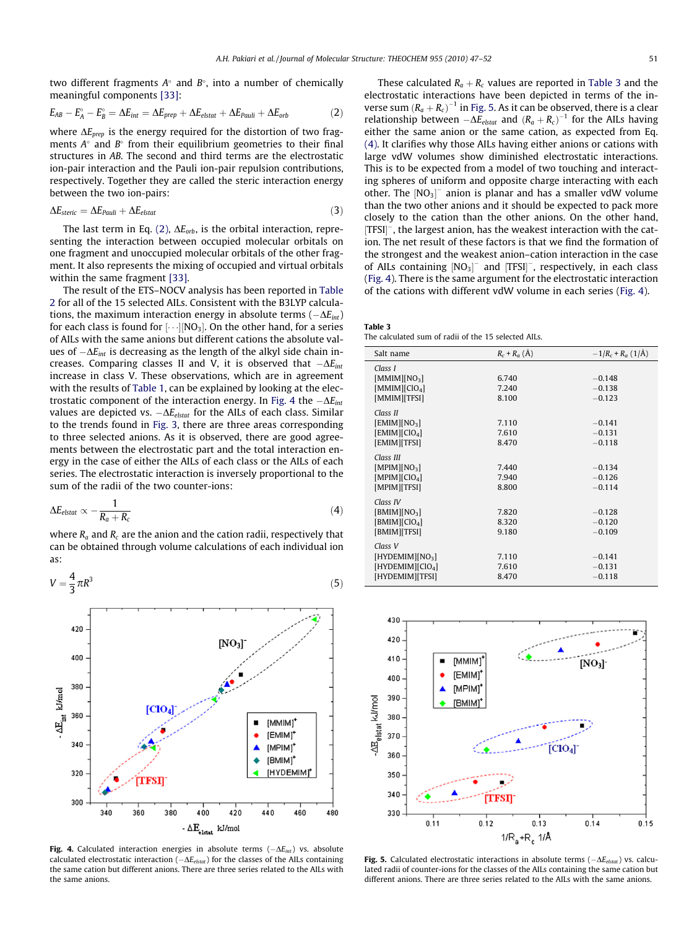<span id="page-4-0"></span>two different fragments  $A^{\circ}$  and  $B^{\circ}$ , into a number of chemically meaningful components [\[33\]:](#page-5-0)

$$
E_{AB} - E_A^{\circ} - E_B^{\circ} = \Delta E_{int} = \Delta E_{prep} + \Delta E_{elstat} + \Delta E_{Pauli} + \Delta E_{orb}
$$
 (2)

where  $\Delta E_{prep}$  is the energy required for the distortion of two fragments  $A^{\circ}$  and  $B^{\circ}$  from their equilibrium geometries to their final structures in AB. The second and third terms are the electrostatic ion-pair interaction and the Pauli ion-pair repulsion contributions, respectively. Together they are called the steric interaction energy between the two ion-pairs:

$$
\Delta E_{steric} = \Delta E_{Pauli} + \Delta E_{elstat} \tag{3}
$$

The last term in Eq. (2),  $\Delta E_{orb}$ , is the orbital interaction, representing the interaction between occupied molecular orbitals on one fragment and unoccupied molecular orbitals of the other fragment. It also represents the mixing of occupied and virtual orbitals within the same fragment [\[33\].](#page-5-0)

The result of the ETS–NOCV analysis has been reported in [Table](#page-3-0) [2](#page-3-0) for all of the 15 selected AILs. Consistent with the B3LYP calculations, the maximum interaction energy in absolute terms ( $-\Delta E_{int}$ ) for each class is found for  $[\cdots][\mathsf{NO}_3].$  On the other hand, for a series of AILs with the same anions but different cations the absolute values of  $-\Delta E_{int}$  is decreasing as the length of the alkyl side chain increases. Comparing classes II and V, it is observed that  $-\Delta E_{int}$ increase in class V. These observations, which are in agreement with the results of [Table 1,](#page-3-0) can be explained by looking at the electrostatic component of the interaction energy. In Fig. 4 the  $-\Delta E_{int}$ values are depicted vs.  $-\Delta E_{elstat}$  for the AILs of each class. Similar to the trends found in [Fig. 3,](#page-3-0) there are three areas corresponding to three selected anions. As it is observed, there are good agreements between the electrostatic part and the total interaction energy in the case of either the AILs of each class or the AILs of each series. The electrostatic interaction is inversely proportional to the sum of the radii of the two counter-ions:

$$
\Delta E_{elstat} \propto -\frac{1}{R_a + R_c} \tag{4}
$$

where  $R_a$  and  $R_c$  are the anion and the cation radii, respectively that can be obtained through volume calculations of each individual ion as:





Fig. 4. Calculated interaction energies in absolute terms ( $-\Delta E_{int}$ ) vs. absolute calculated electrostatic interaction ( $-\Delta E_{elstat}$ ) for the classes of the AILs containing the same cation but different anions. There are three series related to the AILs with the same anions.

These calculated  $R_a + R_c$  values are reported in Table 3 and the electrostatic interactions have been depicted in terms of the inverse sum  $(R_a + R_c)^{-1}$  in Fig. 5. As it can be observed, there is a clear relationship between  $-\Delta E_{elstat}$  and  $(R_a + R_c)^{-1}$  for the AILs having either the same anion or the same cation, as expected from Eq. (4). It clarifies why those AILs having either anions or cations with large vdW volumes show diminished electrostatic interactions. This is to be expected from a model of two touching and interacting spheres of uniform and opposite charge interacting with each other. The  $[NO<sub>3</sub>]<sup>-</sup>$  anion is planar and has a smaller vdW volume than the two other anions and it should be expected to pack more closely to the cation than the other anions. On the other hand, [TFSI]<sup>-</sup>, the largest anion, has the weakest interaction with the cation. The net result of these factors is that we find the formation of the strongest and the weakest anion–cation interaction in the case of AILs containing  $[NO<sub>3</sub>]<sup>-</sup>$  and  $[TFSI]<sup>-</sup>$ , respectively, in each class (Fig. 4). There is the same argument for the electrostatic interaction of the cations with different vdW volume in each series (Fig. 4).

| Table 3                                              |  |  |  |
|------------------------------------------------------|--|--|--|
| The calculated sum of radii of the 15 selected AILs. |  |  |  |

| Salt name                                                                                     | $R_c$ + $R_a$ (Å)       | $-1/R_c + R_a (1/A)$             |
|-----------------------------------------------------------------------------------------------|-------------------------|----------------------------------|
| Class I<br>[MMIM][NO <sub>3</sub> ]                                                           | 6.740                   | $-0.148$                         |
| [MMIM][ClO <sub>4</sub> ]                                                                     | 7.240                   | $-0.138$                         |
| [MMIM][TFSI]                                                                                  | 8.100                   | $-0.123$                         |
| Class II<br>[EMIM][NO <sub>3</sub> ]<br>[EMIM][ClO <sub>4</sub> ]<br>[EMIM][TFSI]             | 7.110<br>7.610<br>8.470 | $-0.141$<br>$-0.131$<br>$-0.118$ |
| Class III<br>[MPIM][NO <sub>3</sub> ]<br>[MPIM][ClO <sub>4</sub> ]<br>[MPIM][TFSI]            | 7.440<br>7.940<br>8.800 | $-0.134$<br>$-0.126$<br>$-0.114$ |
| Class IV<br>[BMIM][NO <sub>3</sub> ]<br>[BMIM][ClO <sub>4</sub> ]<br>[BMIM][TFSI]             | 7.820<br>8.320<br>9.180 | $-0.128$<br>$-0.120$<br>$-0.109$ |
| Class V<br>[HYDEMIM][NO <sub>3</sub> ]<br>$[HYDEMIMI]$ [ClO <sub>4</sub> ]<br>[HYDEMIM][TFSI] | 7.110<br>7.610<br>8.470 | $-0.141$<br>$-0.131$<br>$-0.118$ |



Fig. 5. Calculated electrostatic interactions in absolute terms ( $-\Delta E_{elstat}$ ) vs. calculated radii of counter-ions for the classes of the AILs containing the same cation but different anions. There are three series related to the AILs with the same anions.